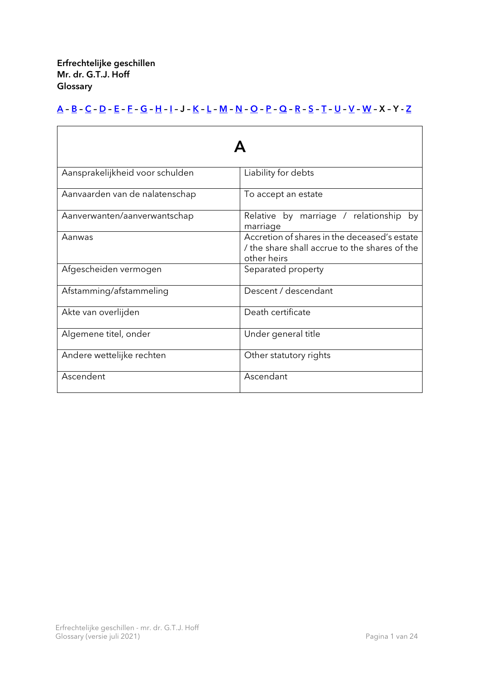Erfrechtelijke geschillen Mr. dr. G.T.J. Hoff **Glossary** 

## [A](#page-0-0) – [B](#page-1-0) – [C](#page-2-0) – [D](#page-3-0) – [E](#page-4-0) – [F](#page-5-0) – [G](#page-6-0) – [H](#page-7-0) – [I](#page-8-0) – J – [K](#page-9-0) – [L](#page-10-0) – [M](#page-11-0) – [N](#page-12-0) – [O](#page-13-0) – [P](#page-14-0) – [Q](#page-15-0) – [R](#page-16-0) – [S](#page-17-0) – [T](#page-18-0) – [U](#page-19-0) – [V](#page-20-0) – [W](#page-22-0) – X – Y - [Z](#page-23-0)

<span id="page-0-0"></span>

| Aansprakelijkheid voor schulden | Liability for debts                                                                                        |
|---------------------------------|------------------------------------------------------------------------------------------------------------|
| Aanvaarden van de nalatenschap  | To accept an estate                                                                                        |
| Aanverwanten/aanverwantschap    | Relative by marriage / relationship<br>by<br>marriage                                                      |
| Aanwas                          | Accretion of shares in the deceased's estate<br>the share shall accrue to the shares of the<br>other heirs |
| Afgescheiden vermogen           | Separated property                                                                                         |
| Afstamming/afstammeling         | Descent / descendant                                                                                       |
| Akte van overlijden             | Death certificate                                                                                          |
| Algemene titel, onder           | Under general title                                                                                        |
| Andere wettelijke rechten       | Other statutory rights                                                                                     |
| Ascendent                       | Ascendant                                                                                                  |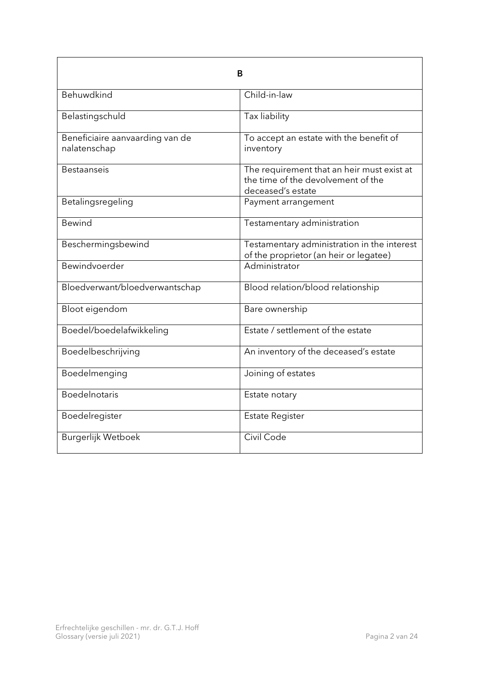<span id="page-1-0"></span>

| В                                               |                                                                                                       |
|-------------------------------------------------|-------------------------------------------------------------------------------------------------------|
| Behuwdkind                                      | Child-in-law                                                                                          |
| Belastingschuld                                 | Tax liability                                                                                         |
| Beneficiaire aanvaarding van de<br>nalatenschap | To accept an estate with the benefit of<br>inventory                                                  |
| <b>Bestaanseis</b>                              | The requirement that an heir must exist at<br>the time of the devolvement of the<br>deceased's estate |
| Betalingsregeling                               | Payment arrangement                                                                                   |
| <b>Bewind</b>                                   | Testamentary administration                                                                           |
| Beschermingsbewind                              | Testamentary administration in the interest<br>of the proprietor (an heir or legatee)                 |
| Bewindvoerder                                   | Administrator                                                                                         |
| Bloedverwant/bloedverwantschap                  | Blood relation/blood relationship                                                                     |
| Bloot eigendom                                  | Bare ownership                                                                                        |
| Boedel/boedelafwikkeling                        | Estate / settlement of the estate                                                                     |
| Boedelbeschrijving                              | An inventory of the deceased's estate                                                                 |
| Boedelmenging                                   | Joining of estates                                                                                    |
| Boedelnotaris                                   | Estate notary                                                                                         |
| Boedelregister                                  | <b>Estate Register</b>                                                                                |
| Burgerlijk Wetboek                              | Civil Code                                                                                            |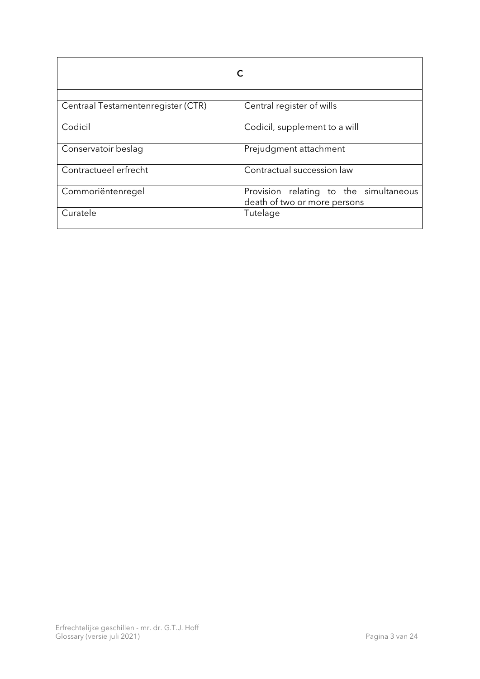<span id="page-2-0"></span>

| Centraal Testamentenregister (CTR) | Central register of wills                                              |
|------------------------------------|------------------------------------------------------------------------|
| Codicil                            | Codicil, supplement to a will                                          |
| Conservatoir beslag                | Prejudgment attachment                                                 |
| Contractueel erfrecht              | Contractual succession law                                             |
| Commoriëntenregel                  | Provision relating to the simultaneous<br>death of two or more persons |
| Curatele                           | Tutelage                                                               |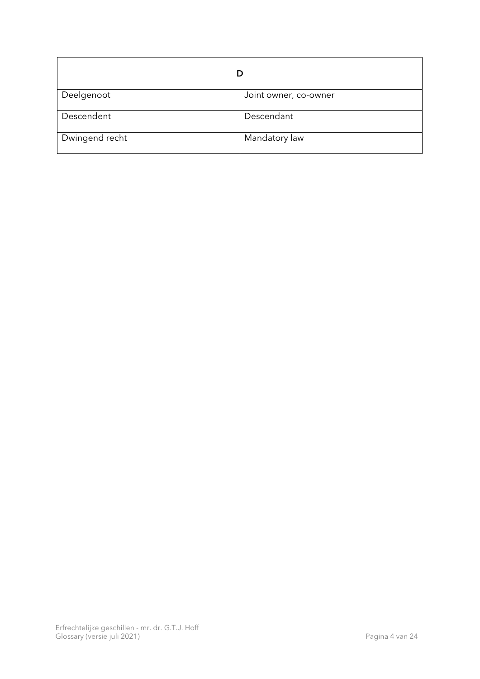<span id="page-3-0"></span>

| Deelgenoot     | Joint owner, co-owner |
|----------------|-----------------------|
| Descendent     | Descendant            |
| Dwingend recht | Mandatory law         |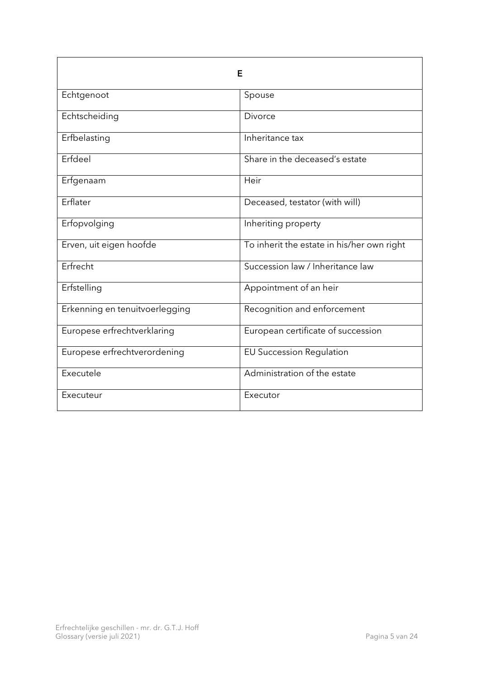<span id="page-4-0"></span>

| Е                              |                                            |
|--------------------------------|--------------------------------------------|
| Echtgenoot                     | Spouse                                     |
| Echtscheiding                  | Divorce                                    |
| Erfbelasting                   | Inheritance tax                            |
| Erfdeel                        | Share in the deceased's estate             |
| Erfgenaam                      | Heir                                       |
| Erflater                       | Deceased, testator (with will)             |
| Erfopvolging                   | Inheriting property                        |
| Erven, uit eigen hoofde        | To inherit the estate in his/her own right |
| Erfrecht                       | Succession law / Inheritance law           |
| Erfstelling                    | Appointment of an heir                     |
| Erkenning en tenuitvoerlegging | Recognition and enforcement                |
| Europese erfrechtverklaring    | European certificate of succession         |
| Europese erfrechtverordening   | <b>EU Succession Regulation</b>            |
| Executele                      | Administration of the estate               |
| Executeur                      | Executor                                   |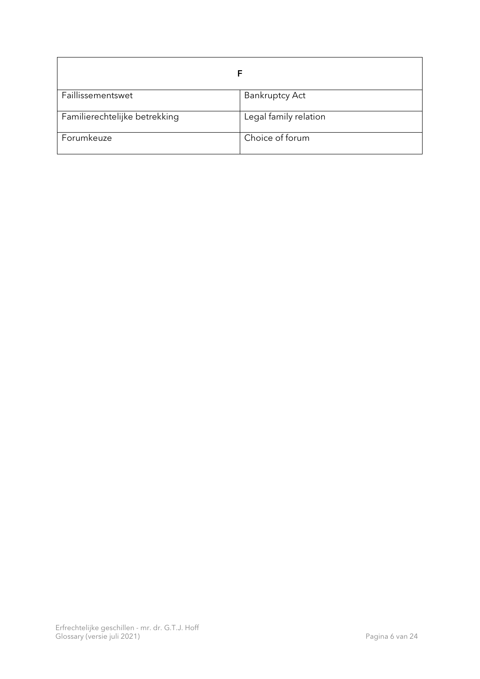<span id="page-5-0"></span>

| Faillissementswet             | <b>Bankruptcy Act</b> |
|-------------------------------|-----------------------|
| Familierechtelijke betrekking | Legal family relation |
| Forumkeuze                    | Choice of forum       |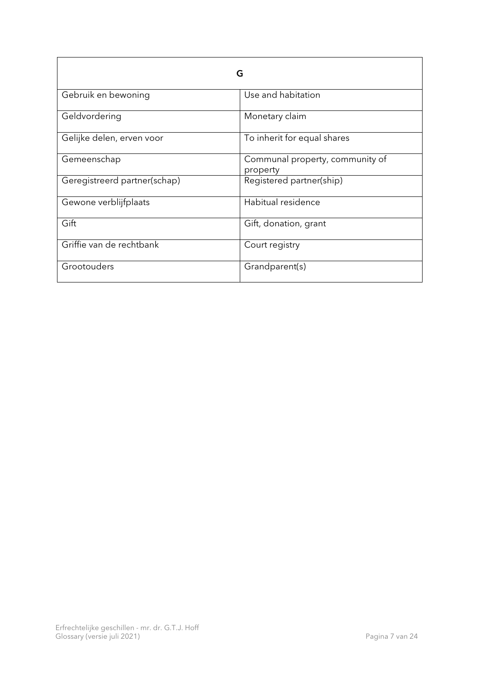<span id="page-6-0"></span>

| G                            |                                             |
|------------------------------|---------------------------------------------|
| Gebruik en bewoning          | Use and habitation                          |
| Geldvordering                | Monetary claim                              |
| Gelijke delen, erven voor    | To inherit for equal shares                 |
| Gemeenschap                  | Communal property, community of<br>property |
| Geregistreerd partner(schap) | Registered partner(ship)                    |
| Gewone verblijfplaats        | Habitual residence                          |
| Gift                         | Gift, donation, grant                       |
| Griffie van de rechtbank     | Court registry                              |
| Grootouders                  | Grandparent(s)                              |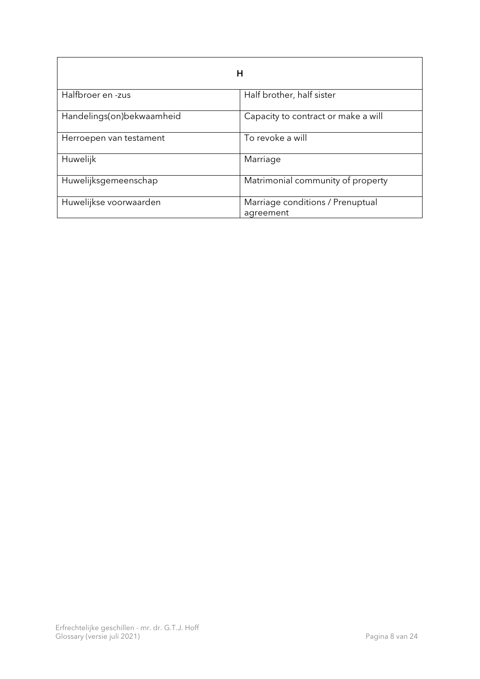<span id="page-7-0"></span>

| н                         |                                               |
|---------------------------|-----------------------------------------------|
| Halfbroer en -zus         | Half brother, half sister                     |
| Handelings(on)bekwaamheid | Capacity to contract or make a will           |
| Herroepen van testament   | To revoke a will                              |
| Huwelijk                  | Marriage                                      |
| Huwelijksgemeenschap      | Matrimonial community of property             |
| Huwelijkse voorwaarden    | Marriage conditions / Prenuptual<br>agreement |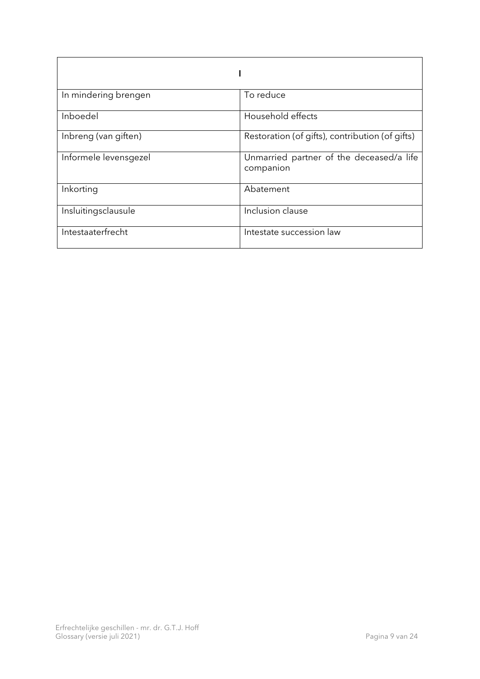<span id="page-8-0"></span>

| In mindering brengen  | To reduce                                             |
|-----------------------|-------------------------------------------------------|
| Inboedel              | Household effects                                     |
| Inbreng (van giften)  | Restoration (of gifts), contribution (of gifts)       |
| Informele levensgezel | Unmarried partner of the deceased/a life<br>companion |
| Inkorting             | Abatement                                             |
| Insluitingsclausule   | Inclusion clause                                      |
| Intestaaterfrecht     | Intestate succession law                              |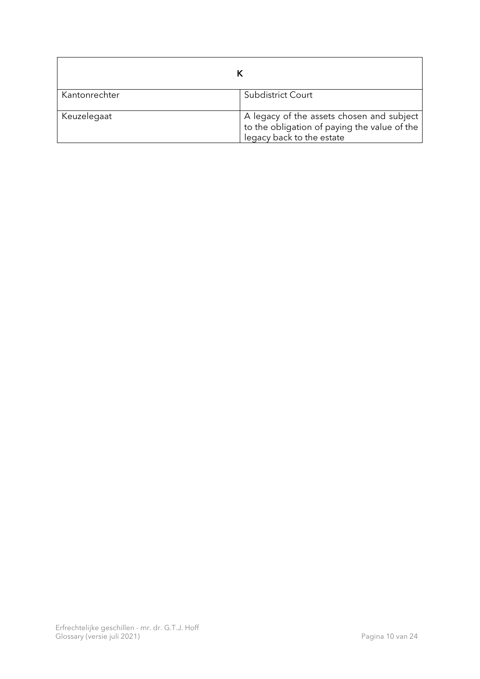<span id="page-9-0"></span>

| Kantonrechter | Subdistrict Court                                                                                                      |
|---------------|------------------------------------------------------------------------------------------------------------------------|
| Keuzelegaat   | A legacy of the assets chosen and subject<br>to the obligation of paying the value of the<br>legacy back to the estate |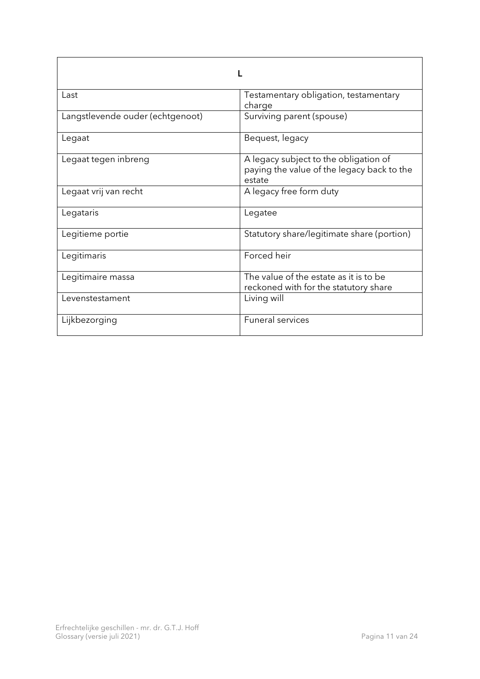<span id="page-10-0"></span>

| Last                             | Testamentary obligation, testamentary<br>charge                                               |
|----------------------------------|-----------------------------------------------------------------------------------------------|
| Langstlevende ouder (echtgenoot) | Surviving parent (spouse)                                                                     |
| Legaat                           | Bequest, legacy                                                                               |
| Legaat tegen inbreng             | A legacy subject to the obligation of<br>paying the value of the legacy back to the<br>estate |
| Legaat vrij van recht            | A legacy free form duty                                                                       |
| Legataris                        | Legatee                                                                                       |
| Legitieme portie                 | Statutory share/legitimate share (portion)                                                    |
| Legitimaris                      | Forced heir                                                                                   |
| Legitimaire massa                | The value of the estate as it is to be<br>reckoned with for the statutory share               |
| Levenstestament                  | Living will                                                                                   |
| Lijkbezorging                    | <b>Funeral services</b>                                                                       |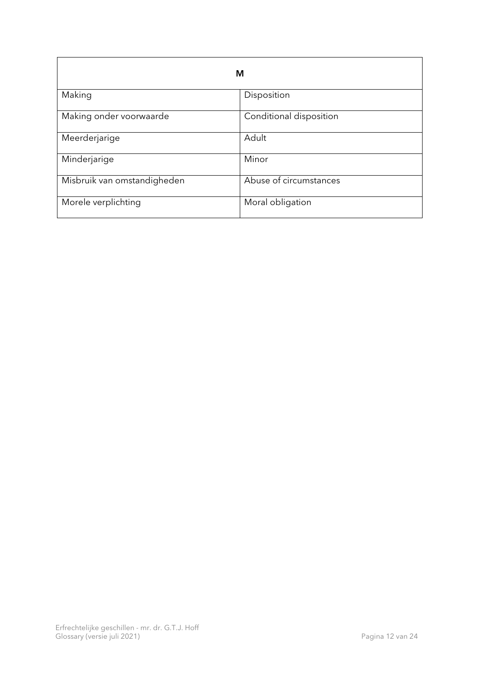<span id="page-11-0"></span>

| M                           |                         |
|-----------------------------|-------------------------|
| Making                      | Disposition             |
| Making onder voorwaarde     | Conditional disposition |
| Meerderjarige               | Adult                   |
| Minderjarige                | Minor                   |
| Misbruik van omstandigheden | Abuse of circumstances  |
| Morele verplichting         | Moral obligation        |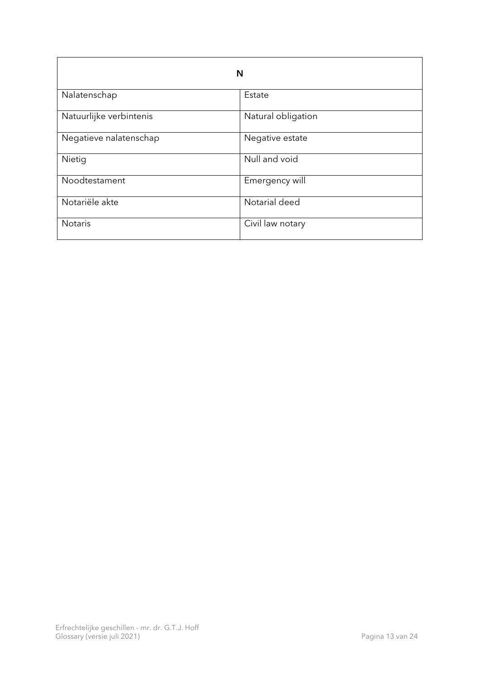<span id="page-12-0"></span>

| N                       |                    |
|-------------------------|--------------------|
| Nalatenschap            | Estate             |
| Natuurlijke verbintenis | Natural obligation |
| Negatieve nalatenschap  | Negative estate    |
| Nietig                  | Null and void      |
| Noodtestament           | Emergency will     |
| Notariële akte          | Notarial deed      |
| <b>Notaris</b>          | Civil law notary   |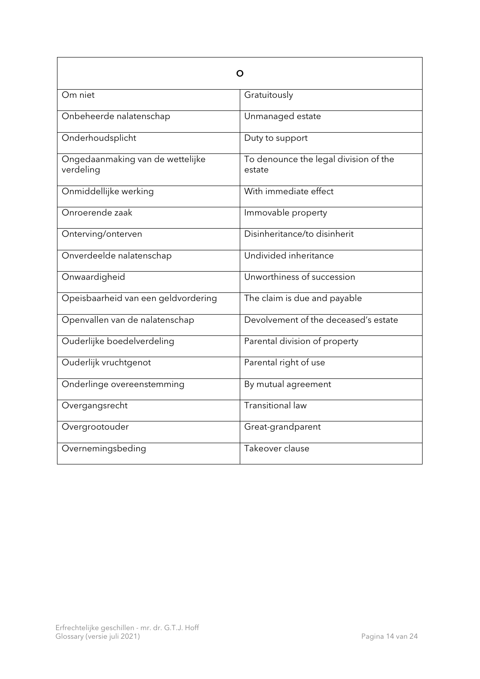<span id="page-13-0"></span>

| O                                             |                                                 |
|-----------------------------------------------|-------------------------------------------------|
| Om niet                                       | Gratuitously                                    |
| Onbeheerde nalatenschap                       | Unmanaged estate                                |
| Onderhoudsplicht                              | Duty to support                                 |
| Ongedaanmaking van de wettelijke<br>verdeling | To denounce the legal division of the<br>estate |
| Onmiddellijke werking                         | With immediate effect                           |
| Onroerende zaak                               | Immovable property                              |
| Onterving/onterven                            | Disinheritance/to disinherit                    |
| Onverdeelde nalatenschap                      | Undivided inheritance                           |
| Onwaardigheid                                 | Unworthiness of succession                      |
| Opeisbaarheid van een geldvordering           | The claim is due and payable                    |
| Openvallen van de nalatenschap                | Devolvement of the deceased's estate            |
| Ouderlijke boedelverdeling                    | Parental division of property                   |
| Ouderlijk vruchtgenot                         | Parental right of use                           |
| Onderlinge overeenstemming                    | By mutual agreement                             |
| Overgangsrecht                                | <b>Transitional law</b>                         |
| Overgrootouder                                | Great-grandparent                               |
| Overnemingsbeding                             | Takeover clause                                 |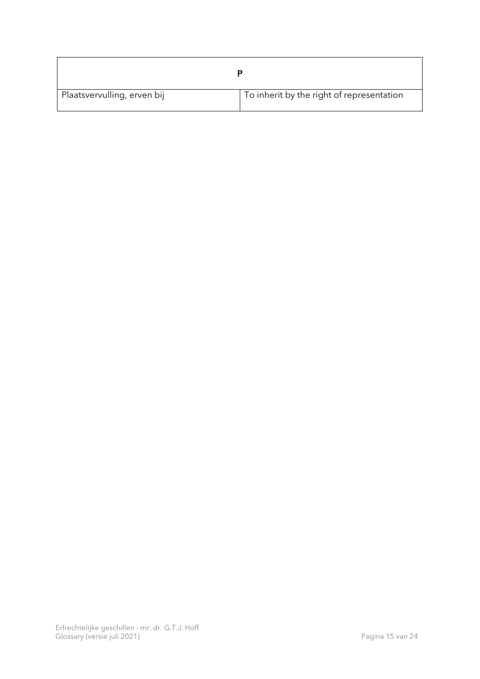<span id="page-14-0"></span>

| Plaatsvervulling, erven bij | To inherit by the right of representation |
|-----------------------------|-------------------------------------------|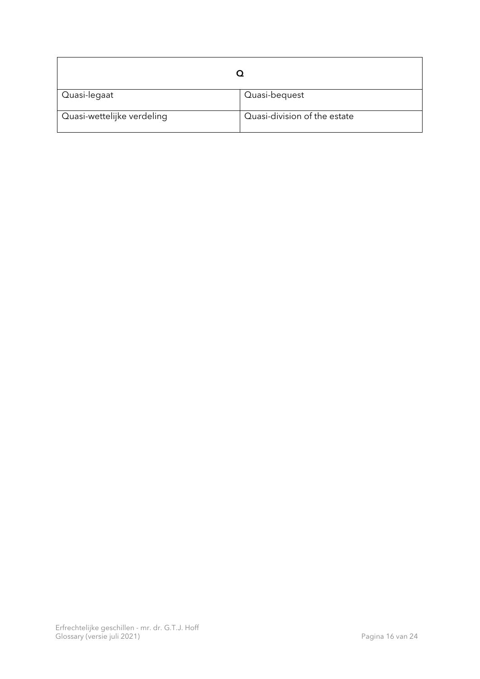<span id="page-15-0"></span>

| Quasi-legaat               | Quasi-bequest                |
|----------------------------|------------------------------|
| Quasi-wettelijke verdeling | Quasi-division of the estate |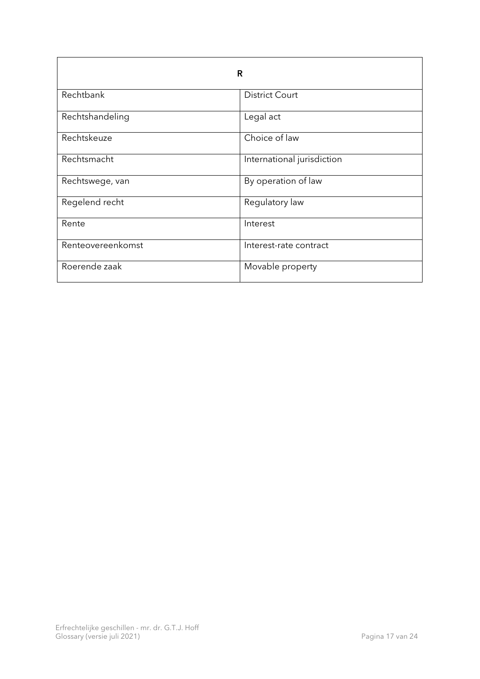<span id="page-16-0"></span>

| R                 |                            |
|-------------------|----------------------------|
| Rechtbank         | <b>District Court</b>      |
| Rechtshandeling   | Legal act                  |
| Rechtskeuze       | Choice of law              |
| Rechtsmacht       | International jurisdiction |
| Rechtswege, van   | By operation of law        |
| Regelend recht    | Regulatory law             |
| Rente             | Interest                   |
| Renteovereenkomst | Interest-rate contract     |
| Roerende zaak     | Movable property           |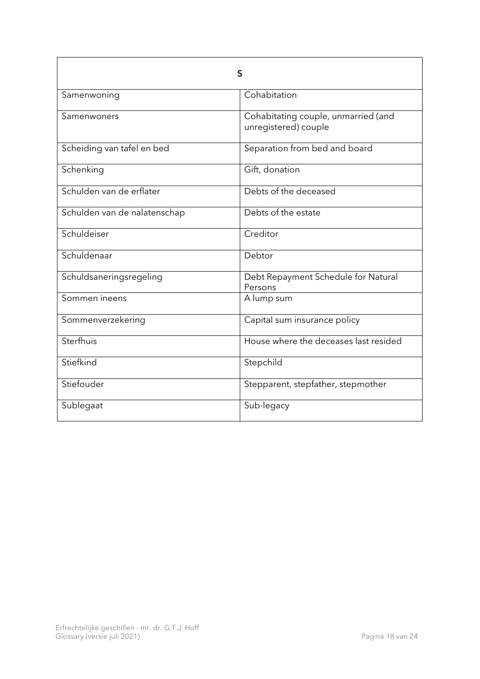<span id="page-17-0"></span>

| S                            |                                                             |
|------------------------------|-------------------------------------------------------------|
| Samenwoning                  | Cohabitation                                                |
| Samenwoners                  | Cohabitating couple, unmarried (and<br>unregistered) couple |
| Scheiding van tafel en bed   | Separation from bed and board                               |
| Schenking                    | Gift, donation                                              |
| Schulden van de erflater     | Debts of the deceased                                       |
| Schulden van de nalatenschap | Debts of the estate                                         |
| Schuldeiser                  | Creditor                                                    |
| Schuldenaar                  | Debtor                                                      |
| Schuldsaneringsregeling      | Debt Repayment Schedule for Natural<br>Persons              |
| Sommen ineens                | A lump sum                                                  |
| Sommenverzekering            | Capital sum insurance policy                                |
| Sterfhuis                    | House where the deceases last resided                       |
| Stiefkind                    | Stepchild                                                   |
| Stiefouder                   | Stepparent, stepfather, stepmother                          |
| Sublegaat                    | Sub-legacy                                                  |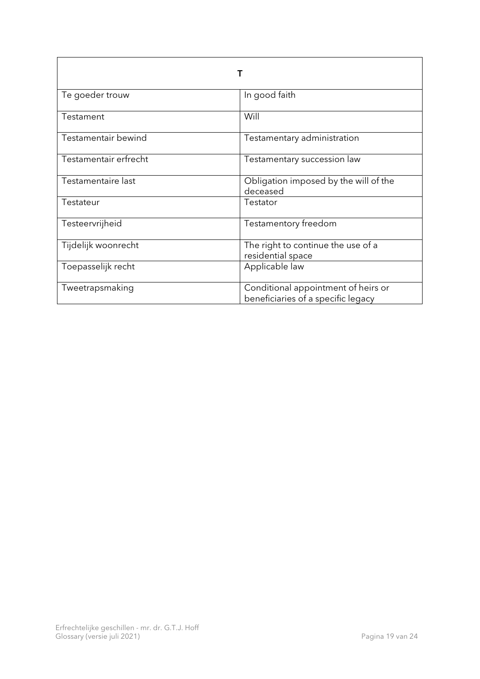<span id="page-18-0"></span>

| Te goeder trouw       | In good faith                                                             |
|-----------------------|---------------------------------------------------------------------------|
| Testament             | Will                                                                      |
| Testamentair bewind   | Testamentary administration                                               |
| Testamentair erfrecht | Testamentary succession law                                               |
| Testamentaire last    | Obligation imposed by the will of the<br>deceased                         |
| Testateur             | Testator                                                                  |
| Testeervrijheid       | Testamentory freedom                                                      |
| Tijdelijk woonrecht   | The right to continue the use of a<br>residential space                   |
| Toepasselijk recht    | Applicable law                                                            |
| Tweetrapsmaking       | Conditional appointment of heirs or<br>beneficiaries of a specific legacy |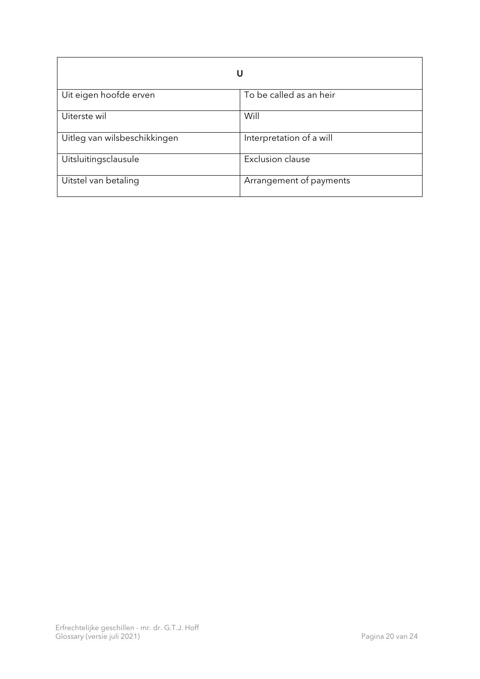<span id="page-19-0"></span>

| U                            |                          |
|------------------------------|--------------------------|
| Uit eigen hoofde erven       | To be called as an heir  |
| Uiterste wil                 | Will                     |
| Uitleg van wilsbeschikkingen | Interpretation of a will |
| Uitsluitingsclausule         | <b>Exclusion clause</b>  |
| Uitstel van betaling         | Arrangement of payments  |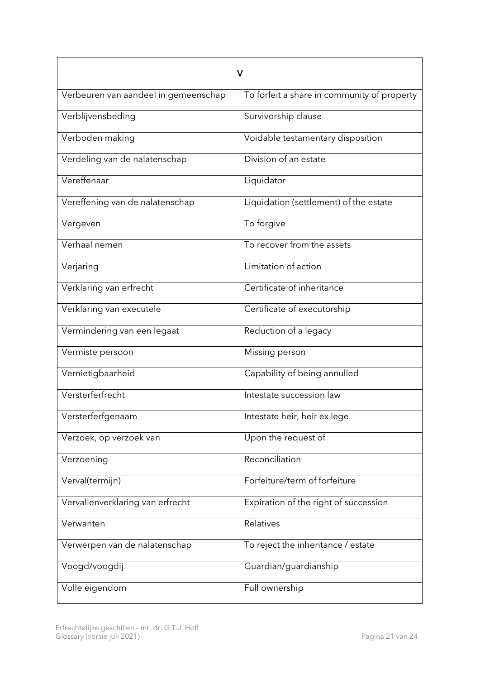<span id="page-20-0"></span>

| V                                    |                                             |
|--------------------------------------|---------------------------------------------|
| Verbeuren van aandeel in gemeenschap | To forfeit a share in community of property |
| Verblijvensbeding                    | Survivorship clause                         |
| Verboden making                      | Voidable testamentary disposition           |
| Verdeling van de nalatenschap        | Division of an estate                       |
| Vereffenaar                          | Liquidator                                  |
| Vereffening van de nalatenschap      | Liquidation (settlement) of the estate      |
| Vergeven                             | To forgive                                  |
| Verhaal nemen                        | To recover from the assets                  |
| Verjaring                            | Limitation of action                        |
| Verklaring van erfrecht              | Certificate of inheritance                  |
| Verklaring van executele             | Certificate of executorship                 |
| Vermindering van een legaat          | Reduction of a legacy                       |
| Vermiste persoon                     | Missing person                              |
| Vernietigbaarheid                    | Capability of being annulled                |
| Versterferfrecht                     | Intestate succession law                    |
| Versterferfgenaam                    | Intestate heir, heir ex lege                |
| Verzoek, op verzoek van              | Upon the request of                         |
| Verzoening                           | Reconciliation                              |
| Verval(termijn)                      | Forfeiture/term of forfeiture               |
| Vervallenverklaring van erfrecht     | Expiration of the right of succession       |
| Verwanten                            | Relatives                                   |
| Verwerpen van de nalatenschap        | To reject the inheritance / estate          |
| Voogd/voogdij                        | Guardian/guardianship                       |
| Volle eigendom                       | Full ownership                              |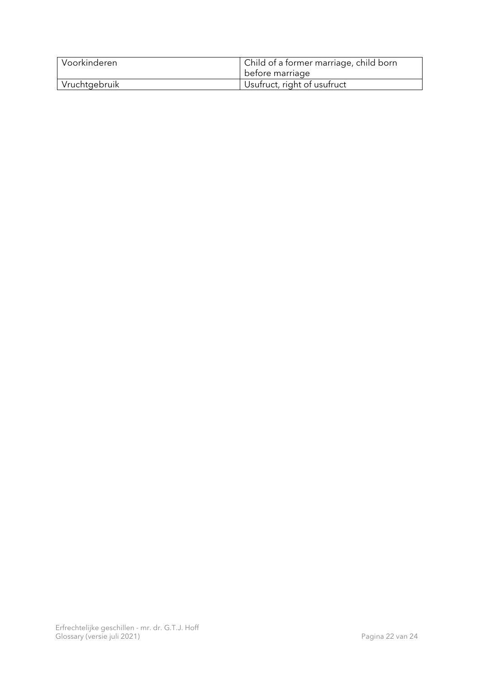| Voorkinderen  | Child of a former marriage, child born<br>before marriage |
|---------------|-----------------------------------------------------------|
| Vruchtgebruik | Usufruct, right of usufruct                               |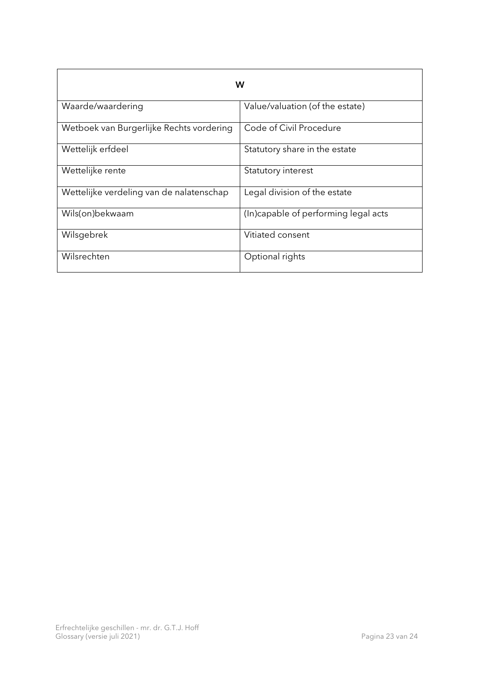<span id="page-22-0"></span>

| W                                        |                                      |
|------------------------------------------|--------------------------------------|
| Waarde/waardering                        | Value/valuation (of the estate)      |
| Wetboek van Burgerlijke Rechts vordering | Code of Civil Procedure              |
| Wettelijk erfdeel                        | Statutory share in the estate        |
| Wettelijke rente                         | Statutory interest                   |
| Wettelijke verdeling van de nalatenschap | Legal division of the estate         |
| Wils(on)bekwaam                          | (In)capable of performing legal acts |
| Wilsgebrek                               | Vitiated consent                     |
| Wilsrechten                              | Optional rights                      |